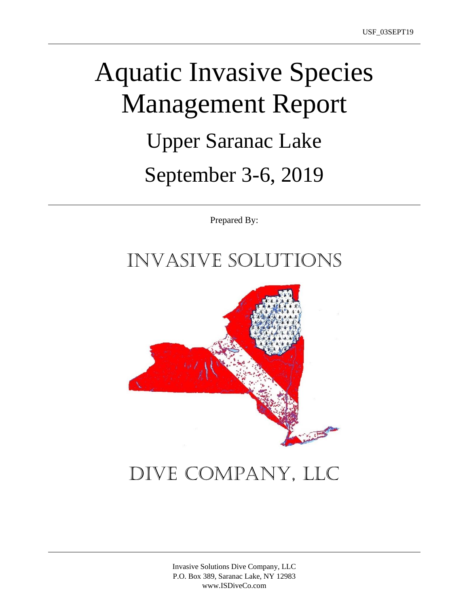# Aquatic Invasive Species Management Report Upper Saranac Lake September 3-6, 2019

Prepared By:

### Invasive Solutions



## Dive Company, LLC

Invasive Solutions Dive Company, LLC P.O. Box 389, Saranac Lake, NY 12983 www.ISDiveCo.com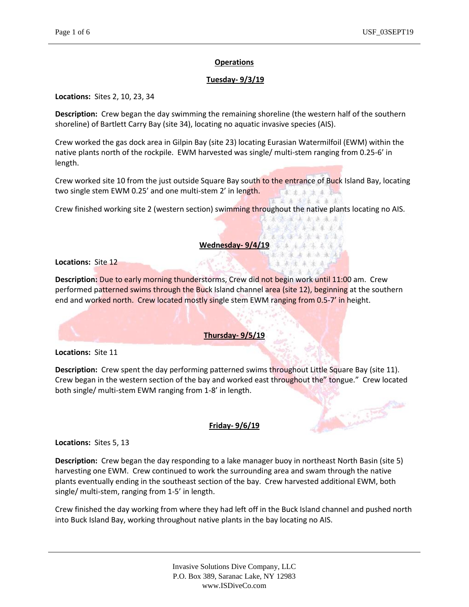#### **Operations**

#### **Tuesday- 9/3/19**

**Locations:** Sites 2, 10, 23, 34

**Description:** Crew began the day swimming the remaining shoreline (the western half of the southern shoreline) of Bartlett Carry Bay (site 34), locating no aquatic invasive species (AIS).

Crew worked the gas dock area in Gilpin Bay (site 23) locating Eurasian Watermilfoil (EWM) within the native plants north of the rockpile. EWM harvested was single/ multi-stem ranging from 0.25-6' in length.

Crew worked site 10 from the just outside Square Bay south to the entrance of Buck Island Bay, locating two single stem EWM 0.25' and one multi-stem 2' in length. 主要求法主要

法法划支出主要

法法法法 刺来流氓 4 金宝金车车车车车 「本流軍金法金家法」

"本来乘去来晚来人" 《幸承法年末来》  $2 - 3 - 1 - 2$ 

**Comments** 

Crew finished working site 2 (western section) swimming throughout the native plants locating no AIS.

#### **Wednesday- 9/4/19**

**Locations:** Site 12

**Description:** Due to early morning thunderstorms, Crew did not begin work until 11:00 am. Crew performed patterned swims through the Buck Island channel area (site 12), beginning at the southern end and worked north. Crew located mostly single stem EWM ranging from 0.5-7' in height.

#### **Thursday- 9/5/19**

**Locations:** Site 11

**Description:** Crew spent the day performing patterned swims throughout Little Square Bay (site 11). Crew began in the western section of the bay and worked east throughout the" tongue." Crew located both single/ multi-stem EWM ranging from 1-8' in length.

#### **Friday- 9/6/19**

**Locations:** Sites 5, 13

**Description:** Crew began the day responding to a lake manager buoy in northeast North Basin (site 5) harvesting one EWM. Crew continued to work the surrounding area and swam through the native plants eventually ending in the southeast section of the bay. Crew harvested additional EWM, both single/ multi-stem, ranging from 1-5' in length.

Crew finished the day working from where they had left off in the Buck Island channel and pushed north into Buck Island Bay, working throughout native plants in the bay locating no AIS.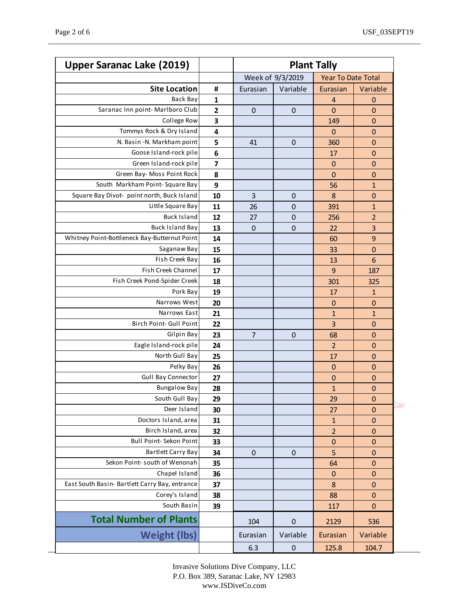| <b>Upper Saranac Lake (2019)</b>               |              | <b>Plant Tally</b> |             |                           |                  |
|------------------------------------------------|--------------|--------------------|-------------|---------------------------|------------------|
|                                                |              | Week of 9/3/2019   |             | <b>Year To Date Total</b> |                  |
| <b>Site Location</b>                           | #            | Eurasian           | Variable    | Eurasian                  | Variable         |
| Back Bay                                       | 1            |                    |             | 4                         | $\boldsymbol{0}$ |
| Saranac Inn point-Marlboro Club                | $\mathbf{2}$ | $\pmb{0}$          | 0           | $\mathbf 0$               | $\mathbf 0$      |
| College Row                                    | 3            |                    |             | 149                       | $\mathbf 0$      |
| Tommys Rock & Dry Island                       | 4            |                    |             | $\overline{0}$            | 0                |
| N. Basin -N. Markham point                     | 5            | 41                 | $\mathbf 0$ | 360                       | 0                |
| Goose Island-rock pile                         | 6            |                    |             | 17                        | $\mathbf 0$      |
| Green Island-rock pile                         | 7            |                    |             | $\mathbf 0$               | 0                |
| Green Bay- Moss Point Rock                     | 8            |                    |             | 0                         | $\mathbf 0$      |
| South Markham Point-Square Bay                 | 9            |                    |             | 56                        | $\mathbf{1}$     |
| Square Bay Divot- point north, Buck Island     | 10           | 3                  | $\mathbf 0$ | 8                         | 0                |
| Little Square Bay                              | 11           | 26                 | $\mathbf 0$ | 391                       | 1                |
| <b>Buck Island</b>                             | 12           | 27                 | $\mathbf 0$ | 256                       | $\overline{2}$   |
| <b>Buck Island Bay</b>                         | 13           | $\mathbf 0$        | $\mathbf 0$ | 22                        | 3                |
| Whitney Point-Bottleneck Bay-Butternut Point   | 14           |                    |             | 60                        | 9                |
| Saganaw Bay                                    | 15           |                    |             | 33                        | $\mathbf 0$      |
| Fish Creek Bay                                 | 16           |                    |             | 13                        | 6                |
| Fish Creek Channel                             | 17           |                    |             | 9                         | 187              |
| Fish Creek Pond-Spider Creek                   | 18           |                    |             | 301                       | 325              |
| Pork Bay                                       | 19           |                    |             | 17                        | $\mathbf{1}$     |
| Narrows West                                   | 20           |                    |             | $\mathbf 0$               | $\mathbf 0$      |
| Narrows East                                   | 21           |                    |             | $\mathbf{1}$              | $\mathbf{1}$     |
| Birch Point- Gull Point                        | 22           |                    |             | 3                         | $\mathbf 0$      |
| Gilpin Bay                                     | 23           | $\overline{7}$     | $\mathbf 0$ | 68                        | 0                |
| Eagle Island-rock pile                         | 24           |                    |             | $\overline{2}$            | 0                |
| North Gull Bay                                 | 25           |                    |             | 17                        | $\mathbf 0$      |
| Pelky Bay                                      | 26           |                    |             | $\mathbf 0$               | $\mathbf 0$      |
| <b>Gull Bay Connector</b>                      | 27           |                    |             | $\mathbf 0$               | $\mathbf 0$      |
| <b>Bungalow Bay</b>                            | 28           |                    |             | $\mathbf{1}$              | $\mathbf 0$      |
| South Gull Bay                                 | 29           |                    |             | 29                        | $\mathbf 0$      |
| Deer Island                                    | 30           |                    |             | 27                        | $\mathbf 0$      |
| Doctors Island, area                           | 31           |                    |             | $\mathbf{1}$              | $\mathbf 0$      |
| Birch Island, area                             | 32           |                    |             | $\overline{2}$            | $\mathbf 0$      |
| Bull Point- Sekon Point                        | 33           |                    |             | $\mathbf 0$               | $\mathbf 0$      |
| <b>Bartlett Carry Bay</b>                      | 34           | 0                  | $\mathbf 0$ | 5                         | $\mathbf 0$      |
| Sekon Point- south of Wenonah                  | 35           |                    |             | 64                        | $\mathbf 0$      |
| Chapel Island                                  | 36           |                    |             | $\boldsymbol{0}$          | $\boldsymbol{0}$ |
| East South Basin- Bartlett Carry Bay, entrance | 37           |                    |             | 8                         | $\mathbf 0$      |
| Corey's Island                                 | 38           |                    |             | 88                        | 0                |
| South Basin                                    | 39           |                    |             | 117                       | $\mathbf 0$      |
| <b>Total Number of Plants</b>                  |              | 104                | $\pmb{0}$   | 2129                      | 536              |
| <b>Weight (lbs)</b>                            |              | Eurasian           | Variable    | Eurasian                  | Variable         |
|                                                |              | 6.3                | $\pmb{0}$   | 125.8                     | 104.7            |

Invasive Solutions Dive Company, LLC P.O. Box 389, Saranac Lake, NY 12983 www.ISDiveCo.com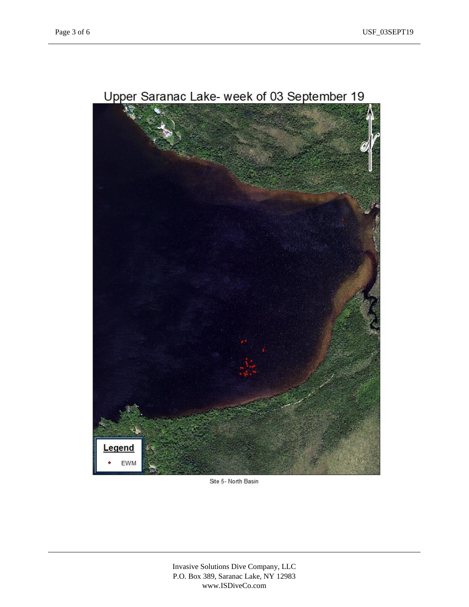

### Upper Saranac Lake- week of 03 September 19

Site 5- North Basin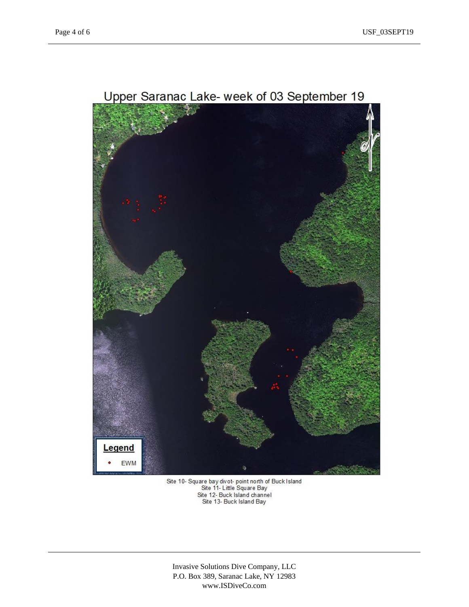

Site 10- Square bay divot- point north of Buck Island<br>Site 11- Little Square Bay<br>Site 12- Buck Island channel<br>Site 13- Buck Island Bay

Invasive Solutions Dive Company, LLC P.O. Box 389, Saranac Lake, NY 12983 www.ISDiveCo.com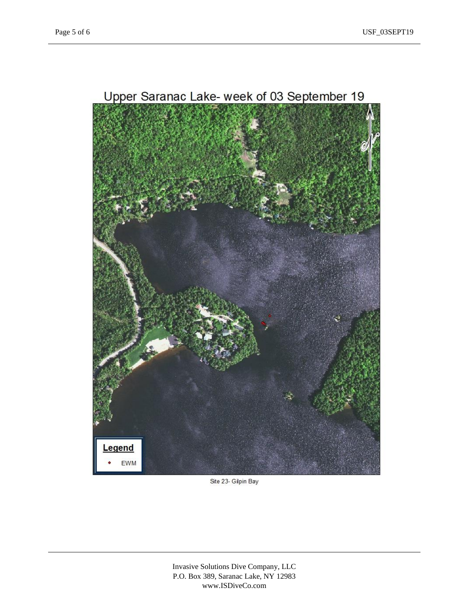

Upper Saranac Lake- week of 03 September 19

Site 23- Gilpin Bay